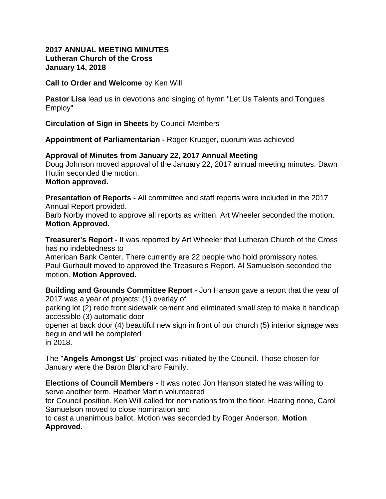## **2017 ANNUAL MEETING MINUTES Lutheran Church of the Cross January 14, 2018**

**Call to Order and Welcome** by Ken Will

**Pastor Lisa** lead us in devotions and singing of hymn "Let Us Talents and Tongues Employ"

**Circulation of Sign in Sheets** by Council Members

**Appointment of Parliamentarian -** Roger Krueger, quorum was achieved

## **Approval of Minutes from January 22, 2017 Annual Meeting**

Doug Johnson moved approval of the January 22, 2017 annual meeting minutes. Dawn Hutlin seconded the motion.

## **Motion approved.**

**Presentation of Reports -** All committee and staff reports were included in the 2017 Annual Report provided.

Barb Norby moved to approve all reports as written. Art Wheeler seconded the motion. **Motion Approved.**

**Treasurer's Report -** It was reported by Art Wheeler that Lutheran Church of the Cross has no indebtedness to

American Bank Center. There currently are 22 people who hold promissory notes. Paul Gurhault moved to approved the Treasure's Report. Al Samuelson seconded the motion. **Motion Approved.**

**Building and Grounds Committee Report -** Jon Hanson gave a report that the year of 2017 was a year of projects: (1) overlay of

parking lot (2) redo front sidewalk cement and eliminated small step to make it handicap accessible (3) automatic door

opener at back door (4) beautiful new sign in front of our church (5) interior signage was begun and will be completed

in 2018.

The "**Angels Amongst Us**" project was initiated by the Council. Those chosen for January were the Baron Blanchard Family.

**Elections of Council Members -** It was noted Jon Hanson stated he was willing to serve another term. Heather Martin volunteered

for Council position. Ken Will called for nominations from the floor. Hearing none, Carol Samuelson moved to close nomination and

to cast a unanimous ballot. Motion was seconded by Roger Anderson. **Motion Approved.**